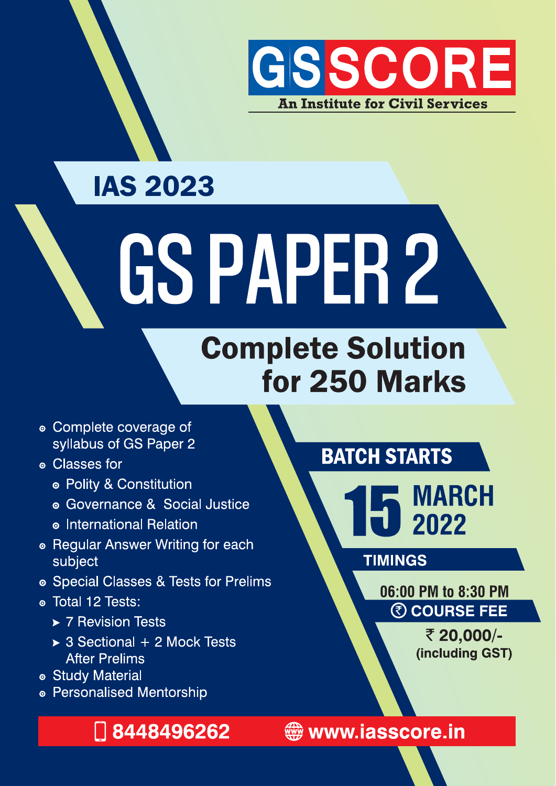

#### **IAS 2023**

# GSPAPER 2

## **Complete Solution** for 250 Marks

- Complete coverage of syllabus of GS Paper 2
- **© Classes for** 
	- · Polity & Constitution
	- Governance & Social Justice
	- o International Relation
- Regular Answer Writing for each subject
- Special Classes & Tests for Prelims
- · Total 12 Tests:
	- ▶ 7 Revision Tests
	- $\rightarrow$  3 Sectional + 2 Mock Tests **After Prelims**
- · Study Material
- Personalised Mentorship

#### □ 8448496262

#### **BATCH STARTS**

**MARCH**<br>2022

**TIMINGS** 

06:00 PM to 8:30 PM **@ COURSE FEE** 

> ₹ 20,000/-(including GST)

www.iasscore.in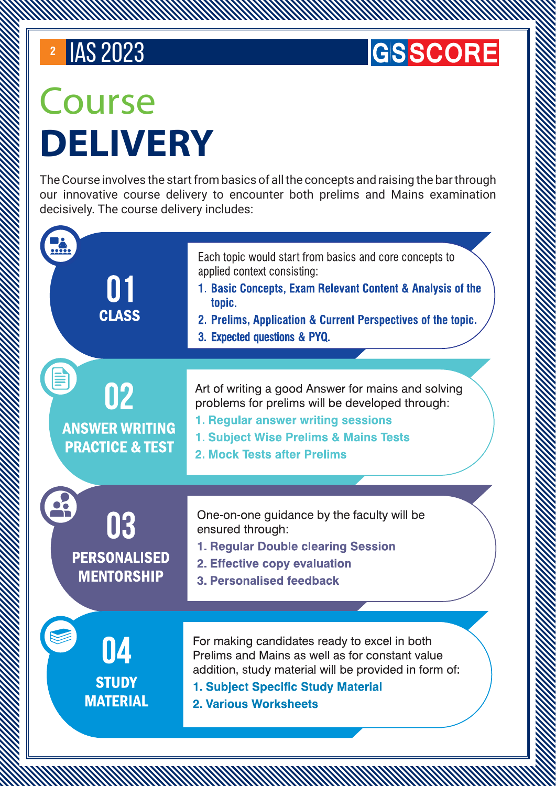#### **GSSCORE**

# Course DELIVERY

The Course involves the start from basics of all the concepts and raising the bar through our innovative course delivery to encounter both prelims and Mains examination decisively. The course delivery includes:

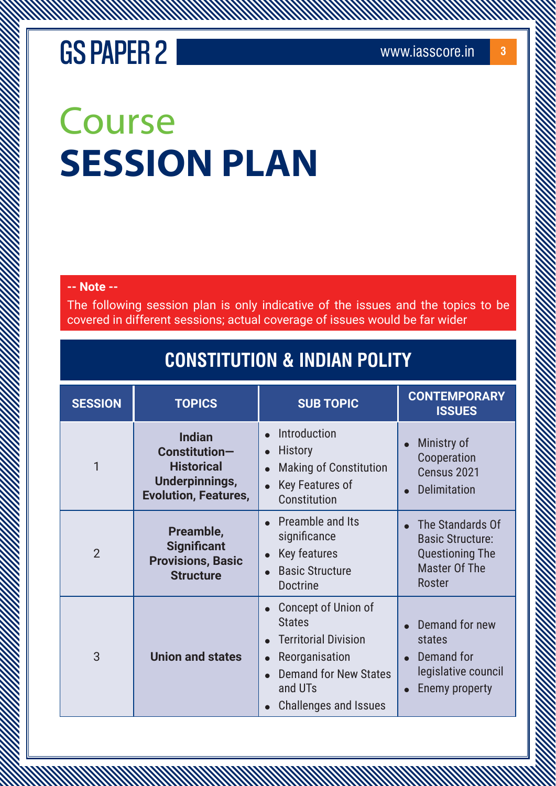# Course SESSION PLAN

#### **-- Note --**

The following session plan is only indicative of the issues and the topics to be covered in different sessions; actual coverage of issues would be far wider

#### **CONSTITUTION & INDIAN POLITY**

| <b>SESSION</b> | <b>TOPICS</b>                                                                                               | <b>SUB TOPIC</b>                                                                                                                                                 | <b>CONTEMPORARY</b><br><b>ISSUES</b>                                                                           |
|----------------|-------------------------------------------------------------------------------------------------------------|------------------------------------------------------------------------------------------------------------------------------------------------------------------|----------------------------------------------------------------------------------------------------------------|
| 1              | <b>Indian</b><br>Constitution-<br><b>Historical</b><br><b>Underpinnings,</b><br><b>Evolution, Features,</b> | Introduction<br>History<br><b>Making of Constitution</b><br>Key Features of<br>Constitution                                                                      | Ministry of<br>Cooperation<br>Census 2021<br>Delimitation                                                      |
| $\overline{2}$ | Preamble,<br><b>Significant</b><br><b>Provisions, Basic</b><br><b>Structure</b>                             | Preamble and Its<br>significance<br>Key features<br><b>Basic Structure</b><br><b>Doctrine</b>                                                                    | The Standards Of<br><b>Basic Structure:</b><br><b>Questioning The</b><br><b>Master Of The</b><br><b>Roster</b> |
| 3              | <b>Union and states</b>                                                                                     | Concept of Union of<br><b>States</b><br><b>Territorial Division</b><br>Reorganisation<br><b>Demand for New States</b><br>and UTs<br><b>Challenges and Issues</b> | Demand for new<br>states<br>Demand for<br>legislative council<br>Enemy property                                |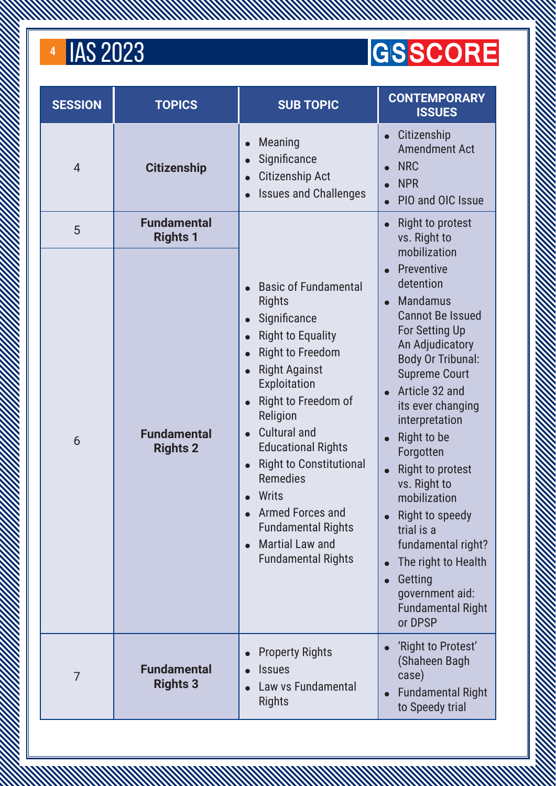AN MANAMAN MANAMAN

#### **GSSCORE**

| <b>SESSION</b> | <b>TOPICS</b>                         | <b>SUB TOPIC</b>                                                                                                                                                                                                                                                                                                                                                                                                                                                      | <b>CONTEMPORARY</b><br><b>ISSUES</b>                                                                                                                                                                                                                                                                                                                                                                                                                                                                            |
|----------------|---------------------------------------|-----------------------------------------------------------------------------------------------------------------------------------------------------------------------------------------------------------------------------------------------------------------------------------------------------------------------------------------------------------------------------------------------------------------------------------------------------------------------|-----------------------------------------------------------------------------------------------------------------------------------------------------------------------------------------------------------------------------------------------------------------------------------------------------------------------------------------------------------------------------------------------------------------------------------------------------------------------------------------------------------------|
| $\overline{4}$ | <b>Citizenship</b>                    | <b>Meaning</b><br>Significance<br><b>Citizenship Act</b><br><b>Issues and Challenges</b>                                                                                                                                                                                                                                                                                                                                                                              | Citizenship<br><b>Amendment Act</b><br><b>NRC</b><br><b>NPR</b><br>PIO and OIC Issue                                                                                                                                                                                                                                                                                                                                                                                                                            |
| 5              | <b>Fundamental</b><br><b>Rights 1</b> |                                                                                                                                                                                                                                                                                                                                                                                                                                                                       | Right to protest<br>vs. Right to<br>mobilization                                                                                                                                                                                                                                                                                                                                                                                                                                                                |
| 6              | <b>Fundamental</b><br><b>Rights 2</b> | <b>Basic of Fundamental</b><br><b>Rights</b><br>Significance<br><b>Right to Equality</b><br>$\bullet$<br><b>Right to Freedom</b><br><b>Right Against</b><br>$\bullet$<br>Exploitation<br>Right to Freedom of<br>$\bullet$<br>Religion<br><b>Cultural and</b><br>$\bullet$<br><b>Educational Rights</b><br><b>Right to Constitutional</b><br><b>Remedies</b><br>Writs<br>Armed Forces and<br><b>Fundamental Rights</b><br>Martial Law and<br><b>Fundamental Rights</b> | Preventive<br>$\bullet$<br>detention<br><b>Mandamus</b><br>$\bullet$<br><b>Cannot Be Issued</b><br>For Setting Up<br>An Adjudicatory<br><b>Body Or Tribunal:</b><br><b>Supreme Court</b><br>Article 32 and<br>its ever changing<br>interpretation<br>Right to be<br>Forgotten<br><b>Right to protest</b><br>vs. Right to<br>mobilization<br><b>Right to speedy</b><br>trial is a<br>fundamental right?<br>The right to Health<br>Getting<br>$\bullet$<br>government aid:<br><b>Fundamental Right</b><br>or DPSP |
| $\overline{7}$ | <b>Fundamental</b><br><b>Rights 3</b> | <b>Property Rights</b><br><b>Issues</b><br>Law vs Fundamental<br>Rights                                                                                                                                                                                                                                                                                                                                                                                               | 'Right to Protest'<br>(Shaheen Bagh<br>case)<br><b>Fundamental Right</b><br>to Speedy trial                                                                                                                                                                                                                                                                                                                                                                                                                     |

A MARTIN AN MARTIN AN MARTIN AN HANDARD STANDARD STANDARD STANDARD STANDARD STANDARD STANDARD STANDARD STANDARD STANDARD STANDARD STANDARD STANDARD STANDARD STANDARD STANDARD STANDARD STANDARD STANDARD STANDARD STANDARD ST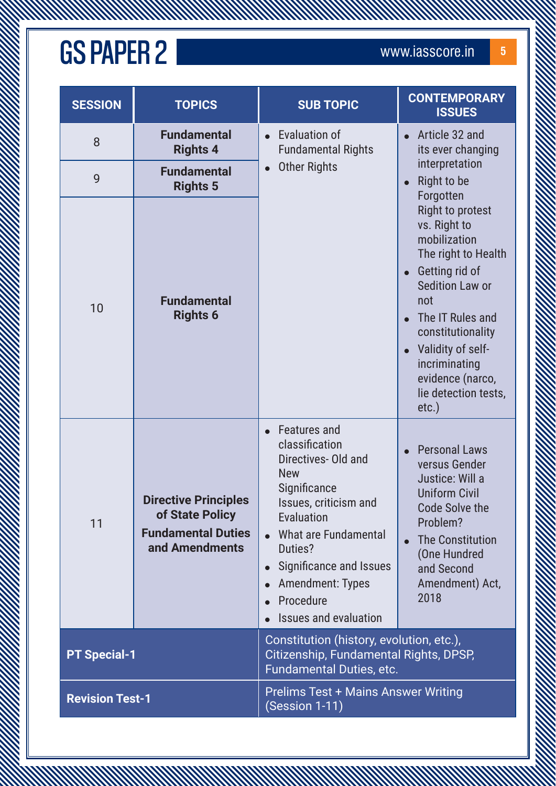**MANAMANA** 

| <b>SESSION</b>                                                                         | <b>TOPICS</b>                                                                                 | <b>SUB TOPIC</b>                                                                                                                                                                                                                                                        | <b>CONTEMPORARY</b><br><b>ISSUES</b>                                                                                                                                                                                                                                     |
|----------------------------------------------------------------------------------------|-----------------------------------------------------------------------------------------------|-------------------------------------------------------------------------------------------------------------------------------------------------------------------------------------------------------------------------------------------------------------------------|--------------------------------------------------------------------------------------------------------------------------------------------------------------------------------------------------------------------------------------------------------------------------|
| 8                                                                                      | <b>Fundamental</b><br><b>Rights 4</b>                                                         | Evaluation of<br><b>Fundamental Rights</b>                                                                                                                                                                                                                              | Article 32 and<br>its ever changing                                                                                                                                                                                                                                      |
| 9                                                                                      | <b>Fundamental</b><br><b>Rights 5</b>                                                         | <b>Other Rights</b><br>$\bullet$                                                                                                                                                                                                                                        | interpretation<br>Right to be<br>Forgotten                                                                                                                                                                                                                               |
| 10                                                                                     | <b>Fundamental</b><br><b>Rights 6</b>                                                         |                                                                                                                                                                                                                                                                         | <b>Right to protest</b><br>vs. Right to<br>mobilization<br>The right to Health<br>Getting rid of<br><b>Sedition Law or</b><br>not<br>The IT Rules and<br>constitutionality<br>Validity of self-<br>incriminating<br>evidence (narco,<br>lie detection tests,<br>$etc.$ ) |
| 11                                                                                     | <b>Directive Principles</b><br>of State Policy<br><b>Fundamental Duties</b><br>and Amendments | <b>Features and</b><br>classification<br>Directives- Old and<br><b>New</b><br>Significance<br>Issues, criticism and<br>Evaluation<br>What are Fundamental<br>Duties?<br>Significance and Issues<br><b>Amendment: Types</b><br>Procedure<br><b>Issues and evaluation</b> | <b>Personal Laws</b><br>versus Gender<br>Justice: Will a<br><b>Uniform Civil</b><br><b>Code Solve the</b><br>Problem?<br><b>The Constitution</b><br>(One Hundred<br>and Second<br>Amendment) Act,<br>2018                                                                |
| <b>PT Special-1</b>                                                                    |                                                                                               | Constitution (history, evolution, etc.),<br>Citizenship, Fundamental Rights, DPSP,<br>Fundamental Duties, etc.                                                                                                                                                          |                                                                                                                                                                                                                                                                          |
| <b>Prelims Test + Mains Answer Writing</b><br><b>Revision Test-1</b><br>(Session 1-11) |                                                                                               |                                                                                                                                                                                                                                                                         |                                                                                                                                                                                                                                                                          |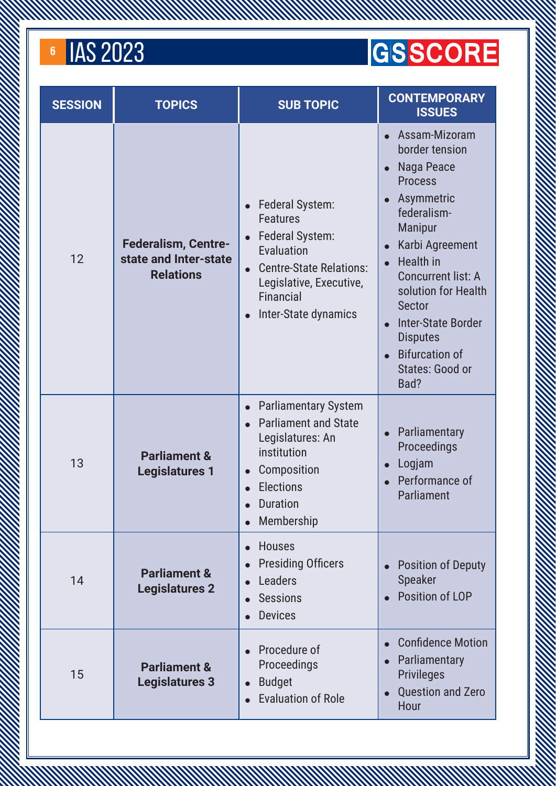#### **GSSCORE**

| <b>SESSION</b> | <b>TOPICS</b>                                                           | <b>SUB TOPIC</b>                                                                                                                                                                                                    | <b>CONTEMPORARY</b><br><b>ISSUES</b>                                                                                                                                                                                                                                                                                                                                  |
|----------------|-------------------------------------------------------------------------|---------------------------------------------------------------------------------------------------------------------------------------------------------------------------------------------------------------------|-----------------------------------------------------------------------------------------------------------------------------------------------------------------------------------------------------------------------------------------------------------------------------------------------------------------------------------------------------------------------|
| 12             | <b>Federalism, Centre-</b><br>state and Inter-state<br><b>Relations</b> | Federal System:<br>$\bullet$<br><b>Features</b><br><b>Federal System:</b><br>$\bullet$<br>Evaluation<br><b>Centre-State Relations:</b><br>$\bullet$<br>Legislative, Executive,<br>Financial<br>Inter-State dynamics | Assam-Mizoram<br>border tension<br>Naga Peace<br>$\bullet$<br><b>Process</b><br>Asymmetric<br>federalism-<br><b>Manipur</b><br>Karbi Agreement<br>$\bullet$<br><b>Health</b> in<br>$\bullet$<br><b>Concurrent list: A</b><br>solution for Health<br><b>Sector</b><br><b>Inter-State Border</b><br><b>Disputes</b><br><b>Bifurcation of</b><br>States: Good or<br>Bad? |
| 13             | <b>Parliament &amp;</b><br><b>Legislatures 1</b>                        | <b>Parliamentary System</b><br>$\bullet$<br><b>Parliament and State</b><br>$\bullet$<br>Legislatures: An<br>institution<br>Composition<br>$\bullet$<br><b>Elections</b><br><b>Duration</b><br>Membership            | Parliamentary<br>$\bullet$<br>Proceedings<br>Logjam<br>$\bullet$<br>Performance of<br>Parliament                                                                                                                                                                                                                                                                      |
| 14             | <b>Parliament &amp;</b><br><b>Legislatures 2</b>                        | <b>Houses</b><br>$\bullet$<br><b>Presiding Officers</b><br>Leaders<br><b>Sessions</b><br><b>Devices</b>                                                                                                             | <b>Position of Deputy</b><br><b>Speaker</b><br>Position of LOP                                                                                                                                                                                                                                                                                                        |
| 15             | <b>Parliament &amp;</b><br><b>Legislatures 3</b>                        | Procedure of<br>Proceedings<br><b>Budget</b><br>$\bullet$<br><b>Evaluation of Role</b>                                                                                                                              | <b>Confidence Motion</b><br>Parliamentary<br>$\bullet$<br><b>Privileges</b><br><b>Question and Zero</b><br>Hour                                                                                                                                                                                                                                                       |

A MARTIN A MARTIN A MARTIN A MARTIN A MARTIN A MARTIN A MARTIN A MARTIN A MARTIN A MARTIN A MARTIN A MARTIN A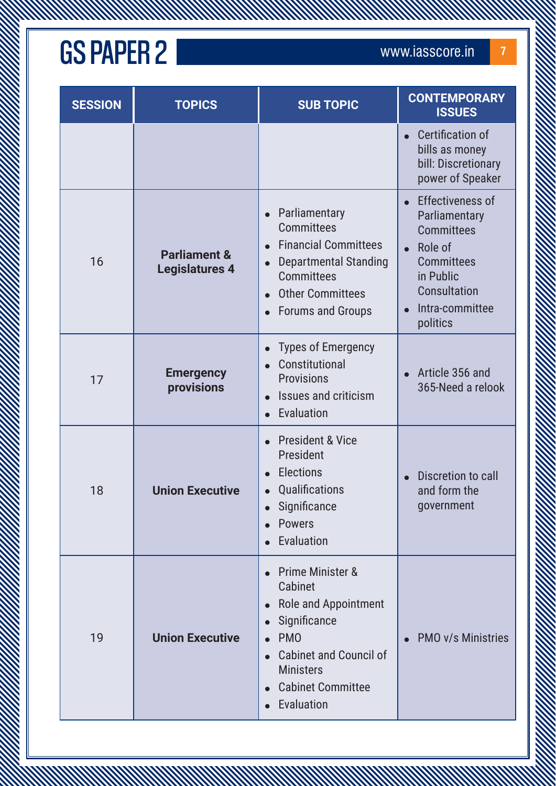**MANAMANA** 

| <b>SESSION</b> | <b>TOPICS</b>                                    | <b>SUB TOPIC</b>                                                                                                                                                                   | <b>CONTEMPORARY</b><br><b>ISSUES</b>                                                                                                                      |
|----------------|--------------------------------------------------|------------------------------------------------------------------------------------------------------------------------------------------------------------------------------------|-----------------------------------------------------------------------------------------------------------------------------------------------------------|
|                |                                                  |                                                                                                                                                                                    | <b>Certification of</b><br>bills as money<br>bill: Discretionary<br>power of Speaker                                                                      |
| 16             | <b>Parliament &amp;</b><br><b>Legislatures 4</b> | Parliamentary<br><b>Committees</b><br><b>Financial Committees</b><br><b>Departmental Standing</b><br><b>Committees</b><br><b>Other Committees</b><br><b>Forums and Groups</b>      | <b>Effectiveness of</b><br>Parliamentary<br><b>Committees</b><br>Role of<br><b>Committees</b><br>in Public<br>Consultation<br>Intra-committee<br>politics |
| 17             | <b>Emergency</b><br>provisions                   | <b>Types of Emergency</b><br>Constitutional<br><b>Provisions</b><br>Issues and criticism<br>Evaluation                                                                             | Article 356 and<br>365-Need a relook                                                                                                                      |
| 18             | <b>Union Executive</b>                           | <b>President &amp; Vice</b><br>President<br><b>Elections</b><br>Qualifications<br>Significance<br><b>Powers</b><br>Evaluation                                                      | Discretion to call<br>and form the<br>government                                                                                                          |
| 19             | <b>Union Executive</b>                           | Prime Minister &<br>Cabinet<br>• Role and Appointment<br>Significance<br><b>PMO</b><br><b>Cabinet and Council of</b><br><b>Ministers</b><br><b>Cabinet Committee</b><br>Evaluation | <b>PMO v/s Ministries</b>                                                                                                                                 |

A MARTIN MARTIN WARRANT WARRANT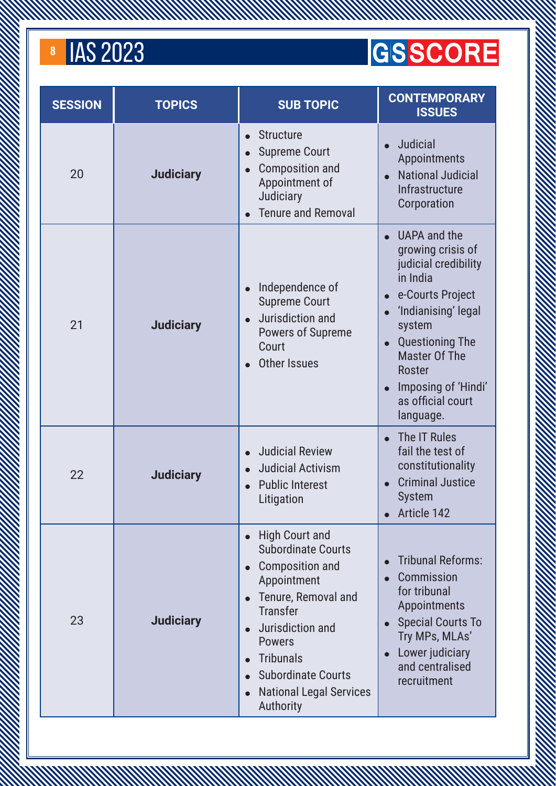#### **GSSCORE**

| <b>SESSION</b> | <b>TOPICS</b>    | <b>SUB TOPIC</b>                                                                                                                                                                                                                                                           | <b>CONTEMPORARY</b><br><b>ISSUES</b>                                                                                                                                                                                                                                                          |
|----------------|------------------|----------------------------------------------------------------------------------------------------------------------------------------------------------------------------------------------------------------------------------------------------------------------------|-----------------------------------------------------------------------------------------------------------------------------------------------------------------------------------------------------------------------------------------------------------------------------------------------|
| 20             | <b>Judiciary</b> | <b>Structure</b><br>$\bullet$<br><b>Supreme Court</b><br><b>Composition and</b><br>Appointment of<br>Judiciary<br><b>Tenure and Removal</b>                                                                                                                                | <b>Judicial</b><br>Appointments<br><b>National Judicial</b><br>Infrastructure<br>Corporation                                                                                                                                                                                                  |
| 21             | <b>Judiciary</b> | Independence of<br><b>Supreme Court</b><br>Jurisdiction and<br>Powers of Supreme<br>Court<br><b>Other Issues</b>                                                                                                                                                           | UAPA and the<br>growing crisis of<br>judicial credibility<br>in India<br>e-Courts Project<br>$\bullet$<br>'Indianising' legal<br>system<br><b>Questioning The</b><br>$\bullet$<br><b>Master Of The</b><br><b>Roster</b><br>Imposing of 'Hindi'<br>$\bullet$<br>as official court<br>language. |
| 22             | <b>Judiciary</b> | <b>Judicial Review</b><br><b>Judicial Activism</b><br><b>Public Interest</b><br>Litigation                                                                                                                                                                                 | The IT Rules<br>$\bullet$<br>fail the test of<br>constitutionality<br><b>Criminal Justice</b><br><b>System</b><br>Article 142                                                                                                                                                                 |
| 23             | <b>Judiciary</b> | <b>High Court and</b><br><b>Subordinate Courts</b><br><b>Composition and</b><br>Appointment<br>Tenure, Removal and<br><b>Transfer</b><br>Jurisdiction and<br><b>Powers</b><br><b>Tribunals</b><br><b>Subordinate Courts</b><br><b>National Legal Services</b><br>Authority | <b>Tribunal Reforms:</b><br>Commission<br>for tribunal<br>Appointments<br><b>Special Courts To</b><br>$\bullet$<br>Try MPs, MLAs'<br>Lower judiciary<br>and centralised<br>recruitment                                                                                                        |

A MARKA MARKA MARKA MARKA MARKA MARKA MARKA MARKA MARKA MARKA MARKA MARKA MARKA MARKA MARKA MARKA MARKA MARKA<br>MARKA MARKA MARKA MARKA MARKA MARKA MARKA MARKA MARKA MARKA MARKA MARKA MARKA MARKA MARKA MARKA MARKA MARKA MA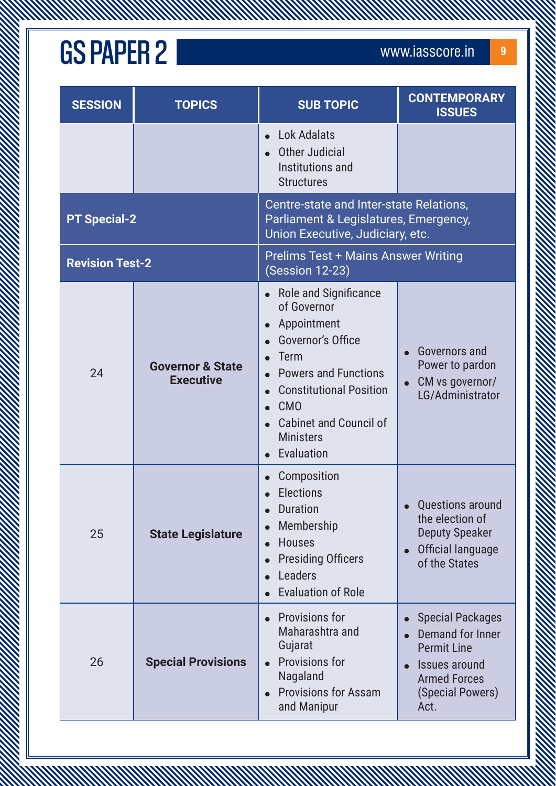**MANAMANA** 

| <b>SESSION</b>         | <b>TOPICS</b>                                   | <b>SUB TOPIC</b>                                                                                                                                                                                                                          | <b>CONTEMPORARY</b><br><b>ISSUES</b>                                                                                                  |
|------------------------|-------------------------------------------------|-------------------------------------------------------------------------------------------------------------------------------------------------------------------------------------------------------------------------------------------|---------------------------------------------------------------------------------------------------------------------------------------|
|                        |                                                 | <b>Lok Adalats</b><br>Other Judicial<br>Institutions and<br><b>Structures</b>                                                                                                                                                             |                                                                                                                                       |
| <b>PT Special-2</b>    |                                                 | Centre-state and Inter-state Relations,<br>Parliament & Legislatures, Emergency,<br>Union Executive, Judiciary, etc.                                                                                                                      |                                                                                                                                       |
| <b>Revision Test-2</b> |                                                 | <b>Prelims Test + Mains Answer Writing</b><br>(Session 12-23)                                                                                                                                                                             |                                                                                                                                       |
| 24                     | <b>Governor &amp; State</b><br><b>Executive</b> | • Role and Significance<br>of Governor<br>Appointment<br>Governor's Office<br>Term<br><b>Powers and Functions</b><br><b>Constitutional Position</b><br>CM <sub>0</sub><br><b>Cabinet and Council of</b><br><b>Ministers</b><br>Evaluation | Governors and<br>Power to pardon<br>CM vs governor/<br>LG/Administrator                                                               |
| 25                     | <b>State Legislature</b>                        | Composition<br><b>Elections</b><br><b>Duration</b><br>Membership<br>$\bullet$<br><b>Houses</b><br>$\bullet$<br><b>Presiding Officers</b><br>$\bullet$<br>Leaders<br><b>Evaluation of Role</b>                                             | Questions around<br>the election of<br><b>Deputy Speaker</b><br>Official language<br>of the States                                    |
| 26                     | <b>Special Provisions</b>                       | <b>Provisions for</b><br>Maharashtra and<br>Gujarat<br><b>Provisions for</b><br>$\bullet$<br>Nagaland<br><b>Provisions for Assam</b><br>and Manipur                                                                                       | <b>Special Packages</b><br>Demand for Inner<br><b>Permit Line</b><br>Issues around<br><b>Armed Forces</b><br>(Special Powers)<br>Act. |

A MARTIN MARTIN ANNO MARTIN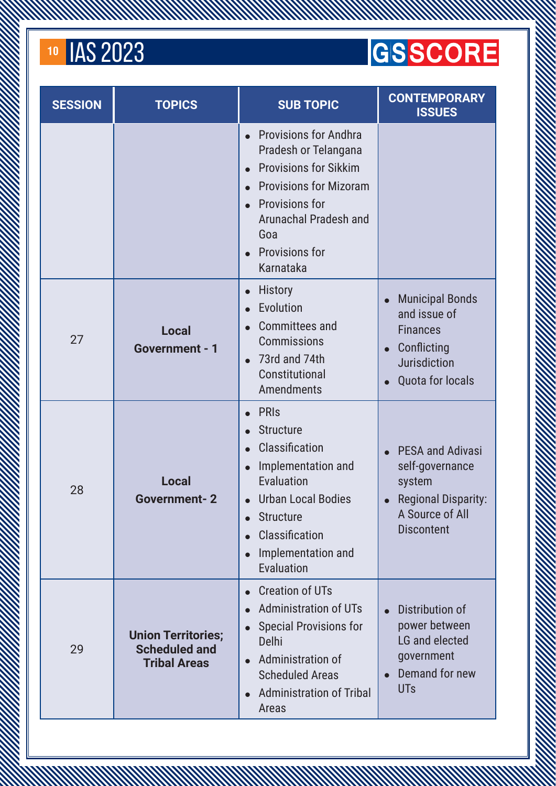#### 10 **IAS 2023**

#### **GSSCORE**

| <b>SESSION</b> | <b>TOPICS</b>                                                            | <b>SUB TOPIC</b>                                                                                                                                                                                                     | <b>CONTEMPORARY</b><br><b>ISSUES</b>                                                                                       |
|----------------|--------------------------------------------------------------------------|----------------------------------------------------------------------------------------------------------------------------------------------------------------------------------------------------------------------|----------------------------------------------------------------------------------------------------------------------------|
|                |                                                                          | <b>Provisions for Andhra</b><br>Pradesh or Telangana<br><b>Provisions for Sikkim</b><br><b>Provisions for Mizoram</b><br><b>Provisions for</b><br>Arunachal Pradesh and<br>Goa<br><b>Provisions for</b><br>Karnataka |                                                                                                                            |
| 27             | <b>Local</b><br><b>Government - 1</b>                                    | <b>History</b><br>Evolution<br><b>Committees and</b><br><b>Commissions</b><br>73rd and 74th<br>Constitutional<br>Amendments                                                                                          | <b>Municipal Bonds</b><br>and issue of<br><b>Finances</b><br>Conflicting<br>Jurisdiction<br><b>Quota for locals</b>        |
| 28             | <b>Local</b><br><b>Government-2</b>                                      | <b>PRIS</b><br><b>Structure</b><br>Classification<br>Implementation and<br>Evaluation<br><b>Urban Local Bodies</b><br><b>Structure</b><br>Classification<br>Implementation and<br>Evaluation                         | <b>PESA and Adivasi</b><br>self-governance<br>system<br><b>Regional Disparity:</b><br>A Source of All<br><b>Discontent</b> |
| 29             | <b>Union Territories;</b><br><b>Scheduled and</b><br><b>Tribal Areas</b> | <b>Creation of UTs</b><br><b>Administration of UTs</b><br><b>Special Provisions for</b><br><b>Delhi</b><br>Administration of<br><b>Scheduled Areas</b><br><b>Administration of Tribal</b><br>Areas                   | Distribution of<br>power between<br>LG and elected<br>government<br>Demand for new<br><b>UTs</b>                           |

A MARKA MARKA MARKA MARKA MARKA MARKA MARKA MARKA MARKA MARKA MARKA MARKA MARKA MARKA MARKA MARKA MARKA MARKA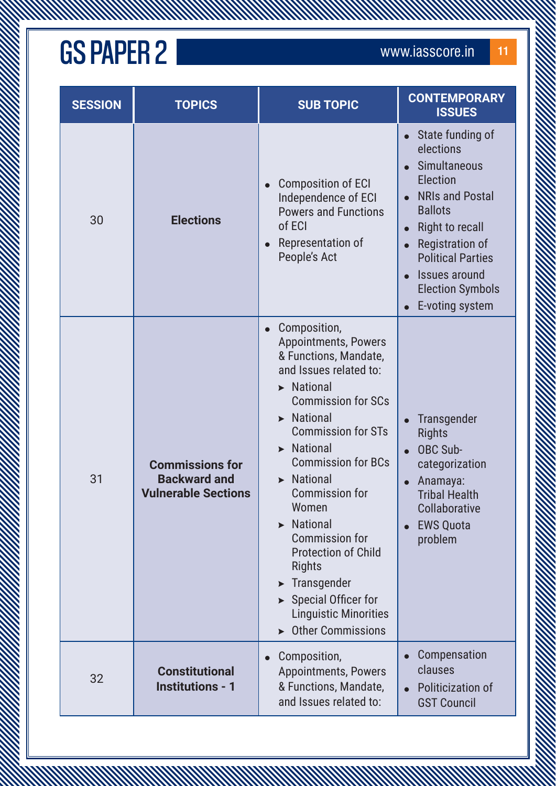**MANAMANA** 

| <b>SESSION</b> | <b>TOPICS</b>                                                               | <b>SUB TOPIC</b>                                                                                                                                                                                                                                                                                                                                                                                                                                                                                                                                     | <b>CONTEMPORARY</b><br><b>ISSUES</b>                                                                                                                                                                                                                              |
|----------------|-----------------------------------------------------------------------------|------------------------------------------------------------------------------------------------------------------------------------------------------------------------------------------------------------------------------------------------------------------------------------------------------------------------------------------------------------------------------------------------------------------------------------------------------------------------------------------------------------------------------------------------------|-------------------------------------------------------------------------------------------------------------------------------------------------------------------------------------------------------------------------------------------------------------------|
| 30             | <b>Elections</b>                                                            | <b>Composition of ECI</b><br>Independence of ECI<br><b>Powers and Functions</b><br>of ECI<br>Representation of<br>People's Act                                                                                                                                                                                                                                                                                                                                                                                                                       | State funding of<br>elections<br>Simultaneous<br>Election<br><b>NRIs and Postal</b><br><b>Ballots</b><br><b>Right to recall</b><br>$\bullet$<br><b>Registration of</b><br><b>Political Parties</b><br>Issues around<br><b>Election Symbols</b><br>E-voting system |
| 31             | <b>Commissions for</b><br><b>Backward and</b><br><b>Vulnerable Sections</b> | Composition,<br><b>Appointments, Powers</b><br>& Functions, Mandate,<br>and Issues related to:<br>$\blacktriangleright$ National<br><b>Commission for SCs</b><br>$\blacktriangleright$ National<br><b>Commission for STs</b><br>$\blacktriangleright$ National<br><b>Commission for BCs</b><br>> National<br><b>Commission for</b><br>Women<br><b>National</b><br><b>Commission for</b><br><b>Protection of Child</b><br><b>Rights</b><br>Transgender<br>$\triangleright$ Special Officer for<br><b>Linguistic Minorities</b><br>▶ Other Commissions | Transgender<br><b>Rights</b><br><b>OBC Sub-</b><br>categorization<br>Anamaya:<br><b>Tribal Health</b><br>Collaborative<br><b>EWS Quota</b><br>problem                                                                                                             |
| 32             | <b>Constitutional</b><br><b>Institutions - 1</b>                            | Composition,<br><b>Appointments, Powers</b><br>& Functions, Mandate,<br>and Issues related to:                                                                                                                                                                                                                                                                                                                                                                                                                                                       | Compensation<br>clauses<br>Politicization of<br><b>GST Council</b>                                                                                                                                                                                                |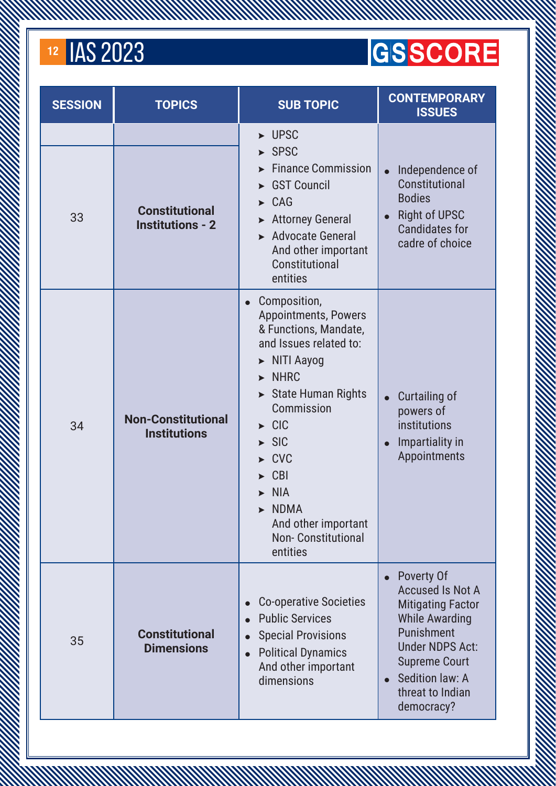#### 12 **IAS 2023**

#### **GSSCORE**

| <b>SESSION</b> | <b>TOPICS</b>                                    | <b>SUB TOPIC</b>                                                                                                                                                                                                                                                                                                                                                                                                              | <b>CONTEMPORARY</b><br><b>ISSUES</b>                                                                                                                                                                            |
|----------------|--------------------------------------------------|-------------------------------------------------------------------------------------------------------------------------------------------------------------------------------------------------------------------------------------------------------------------------------------------------------------------------------------------------------------------------------------------------------------------------------|-----------------------------------------------------------------------------------------------------------------------------------------------------------------------------------------------------------------|
| 33             | <b>Constitutional</b><br><b>Institutions - 2</b> | $\blacktriangleright$ UPSC<br>$\triangleright$ SPSC<br><b>Finance Commission</b><br><b>GST Council</b><br>$\triangleright$ CAG<br><b>Attorney General</b><br>$\blacktriangleright$<br>Advocate General<br>And other important<br>Constitutional<br>entities                                                                                                                                                                   | Independence of<br>Constitutional<br><b>Bodies</b><br><b>Right of UPSC</b><br><b>Candidates for</b><br>cadre of choice                                                                                          |
| 34             | <b>Non-Constitutional</b><br><b>Institutions</b> | Composition,<br>$\bullet$<br><b>Appointments, Powers</b><br>& Functions, Mandate,<br>and Issues related to:<br>$\triangleright$ NITI Aayog<br>$\triangleright$ NHRC<br>State Human Rights<br>Commission<br>$\triangleright$ CIC<br>$\triangleright$ SIC<br>$\triangleright$ CVC<br>$\triangleright$ CBI<br>$\blacktriangleright$ NIA<br>$\triangleright$ NDMA<br>And other important<br><b>Non-Constitutional</b><br>entities | Curtailing of<br>powers of<br>institutions<br>Impartiality in<br>Appointments                                                                                                                                   |
| 35             | <b>Constitutional</b><br><b>Dimensions</b>       | <b>Co-operative Societies</b><br><b>Public Services</b><br><b>Special Provisions</b><br><b>Political Dynamics</b><br>$\bullet$<br>And other important<br>dimensions                                                                                                                                                                                                                                                           | Poverty Of<br><b>Accused Is Not A</b><br><b>Mitigating Factor</b><br><b>While Awarding</b><br>Punishment<br><b>Under NDPS Act:</b><br><b>Supreme Court</b><br>Sedition law: A<br>threat to Indian<br>democracy? |

A MARKA MARKA MARKA MARKA MARKA MARKA MARKA MARKA MARKA MARKA MARKA MARKA MARKA MARKA MARKA MARKA MARKA MARKA<br>MARKA MARKA MARKA MARKA MARKA MARKA MARKA MARKA MARKA MARKA MARKA MARKA MARKA MARKA MARKA MARKA MARKA MARKA MA

A MARTIN AN MARTIN AN MARTIN AN MARTIN AN MARTIN AN MARTIN AN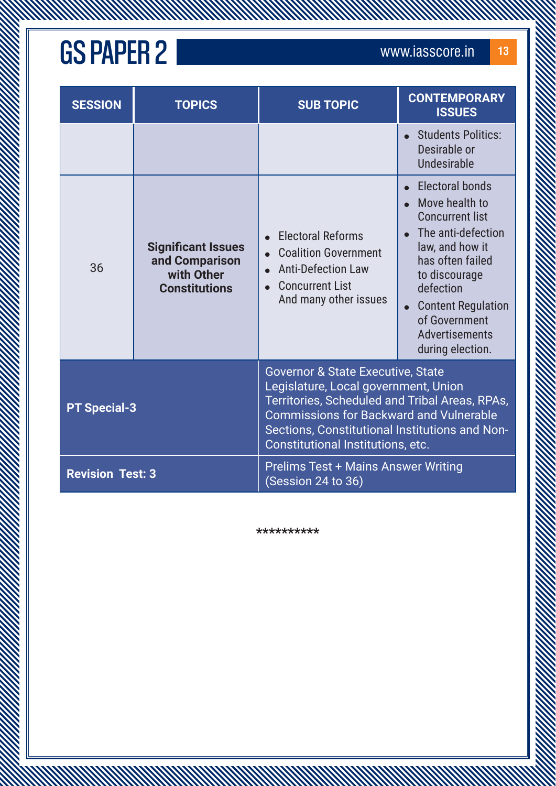| <b>SESSION</b>          | <b>TOPICS</b>                                                                     | <b>SUB TOPIC</b>                                                                                                                                                                                                                                                                | <b>CONTEMPORARY</b><br><b>ISSUES</b>                                                                                                                                                                                                                     |
|-------------------------|-----------------------------------------------------------------------------------|---------------------------------------------------------------------------------------------------------------------------------------------------------------------------------------------------------------------------------------------------------------------------------|----------------------------------------------------------------------------------------------------------------------------------------------------------------------------------------------------------------------------------------------------------|
|                         |                                                                                   |                                                                                                                                                                                                                                                                                 | <b>Students Politics:</b><br>Desirable or<br><b>Undesirable</b>                                                                                                                                                                                          |
| 36                      | <b>Significant Issues</b><br>and Comparison<br>with Other<br><b>Constitutions</b> | <b>Electoral Reforms</b><br><b>Coalition Government</b><br><b>Anti-Defection Law</b><br><b>Concurrent List</b><br>And many other issues                                                                                                                                         | <b>Electoral bonds</b><br>Move health to<br><b>Concurrent list</b><br>The anti-defection<br>law, and how it<br>has often failed<br>to discourage<br>defection<br><b>Content Regulation</b><br>of Government<br><b>Advertisements</b><br>during election. |
| <b>PT Special-3</b>     |                                                                                   | <b>Governor &amp; State Executive, State</b><br>Legislature, Local government, Union<br>Territories, Scheduled and Tribal Areas, RPAs,<br><b>Commissions for Backward and Vulnerable</b><br>Sections, Constitutional Institutions and Non-<br>Constitutional Institutions, etc. |                                                                                                                                                                                                                                                          |
| <b>Revision Test: 3</b> |                                                                                   | <b>Prelims Test + Mains Answer Writing</b><br>(Session 24 to 36)                                                                                                                                                                                                                |                                                                                                                                                                                                                                                          |

A MARTIN MARTIN WARRANT WARRANT

**\*\*\*\*\*\*\*\*\*\***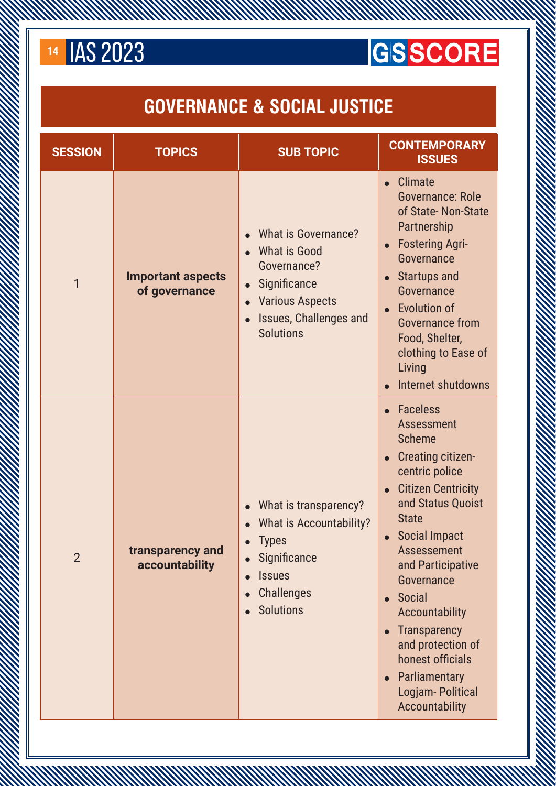

#### **GSSCORE**

#### **GOVERNANCE & SOCIAL JUSTICE**

A MARTIN AN MARTIN AN MARTIN AN MARTIN AN MARTIN AN MARTIN AN MARTIN AN MARTIN AN MARTIN AN MARTIN AN MARTIN

| <b>SESSION</b> | <b>TOPICS</b>                             | <b>SUB TOPIC</b>                                                                                                                                                                                       | <b>CONTEMPORARY</b><br><b>ISSUES</b>                                                                                                                                                                                                                                                                                                                                                                                                                                               |
|----------------|-------------------------------------------|--------------------------------------------------------------------------------------------------------------------------------------------------------------------------------------------------------|------------------------------------------------------------------------------------------------------------------------------------------------------------------------------------------------------------------------------------------------------------------------------------------------------------------------------------------------------------------------------------------------------------------------------------------------------------------------------------|
| 1              | <b>Important aspects</b><br>of governance | <b>What is Governance?</b><br><b>What is Good</b><br>$\bullet$<br>Governance?<br>Significance<br>$\bullet$<br><b>Various Aspects</b><br><b>Issues, Challenges and</b><br>$\bullet$<br><b>Solutions</b> | <b>Climate</b><br>$\bullet$<br><b>Governance: Role</b><br>of State-Non-State<br>Partnership<br><b>Fostering Agri-</b><br>$\bullet$<br>Governance<br>Startups and<br>$\bullet$<br>Governance<br><b>Evolution of</b><br>$\bullet$<br><b>Governance from</b><br>Food, Shelter,<br>clothing to Ease of<br>Living<br>Internet shutdowns                                                                                                                                                 |
| $\overline{2}$ | transparency and<br>accountability        | What is transparency?<br>$\bullet$<br><b>What is Accountability?</b><br><b>Types</b><br>Significance<br><b>Issues</b><br><b>Challenges</b><br>$\bullet$<br><b>Solutions</b>                            | <b>Faceless</b><br><b>Assessment</b><br><b>Scheme</b><br><b>Creating citizen-</b><br>centric police<br><b>Citizen Centricity</b><br>$\bullet$<br>and Status Quoist<br><b>State</b><br><b>Social Impact</b><br>$\bullet$<br>Assessement<br>and Participative<br>Governance<br><b>Social</b><br>$\bullet$<br>Accountability<br><b>Transparency</b><br>$\bullet$<br>and protection of<br>honest officials<br>Parliamentary<br>$\bullet$<br>Logjam- Political<br><b>Accountability</b> |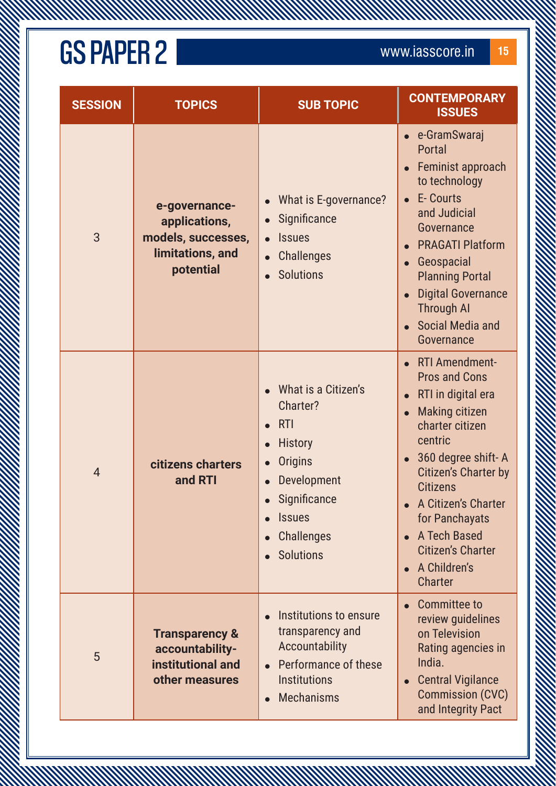**WWW** 

| <b>SESSION</b> | <b>TOPICS</b>                                                                         | <b>SUB TOPIC</b>                                                                                                                                                           | <b>CONTEMPORARY</b><br><b>ISSUES</b>                                                                                                                                                                                                                                                                          |
|----------------|---------------------------------------------------------------------------------------|----------------------------------------------------------------------------------------------------------------------------------------------------------------------------|---------------------------------------------------------------------------------------------------------------------------------------------------------------------------------------------------------------------------------------------------------------------------------------------------------------|
| 3              | e-governance-<br>applications,<br>models, successes,<br>limitations, and<br>potential | What is E-governance?<br>Significance<br><b>Issues</b><br><b>Challenges</b><br><b>Solutions</b><br>$\bullet$                                                               | • e-GramSwaraj<br>Portal<br>Feminist approach<br>to technology<br><b>E-Courts</b><br>and Judicial<br>Governance<br><b>PRAGATI Platform</b><br>Geospacial<br><b>Planning Portal</b><br><b>Digital Governance</b><br><b>Through AI</b><br><b>Social Media and</b><br>Governance                                 |
| $\overline{4}$ | citizens charters<br>and RTI                                                          | What is a Citizen's<br>Charter?<br><b>RTI</b><br><b>History</b><br><b>Origins</b><br>Development<br>Significance<br><b>Issues</b><br><b>Challenges</b><br><b>Solutions</b> | • RTI Amendment-<br><b>Pros and Cons</b><br>RTI in digital era<br><b>Making citizen</b><br>charter citizen<br>centric<br>360 degree shift-A<br>Citizen's Charter by<br><b>Citizens</b><br>A Citizen's Charter<br>for Panchayats<br>A Tech Based<br><b>Citizen's Charter</b><br>A Children's<br><b>Charter</b> |
| 5              | <b>Transparency &amp;</b><br>accountability-<br>institutional and<br>other measures   | Institutions to ensure<br>transparency and<br>Accountability<br>Performance of these<br><b>Institutions</b><br><b>Mechanisms</b>                                           | <b>Committee to</b><br>review guidelines<br>on Television<br>Rating agencies in<br>India.<br><b>Central Vigilance</b><br><b>Commission (CVC)</b><br>and Integrity Pact                                                                                                                                        |

A MARTIN MARTIN WARRANT WARRANT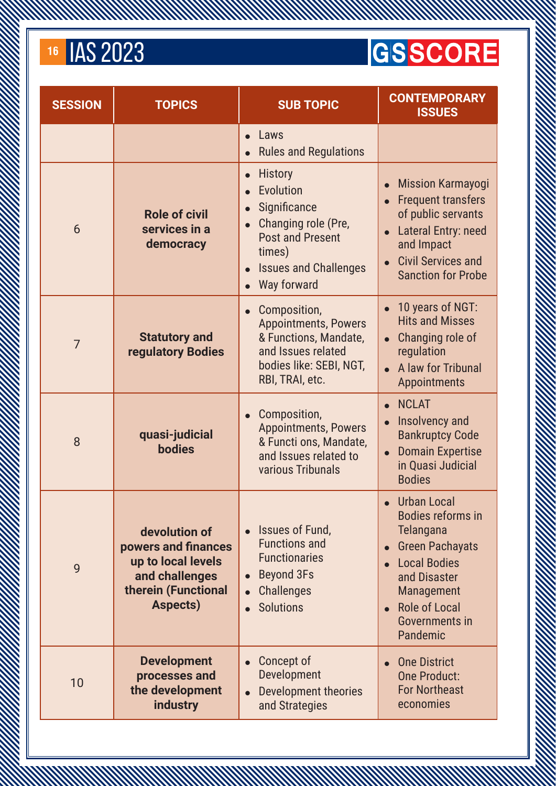#### **GSSCORE**

| <b>SESSION</b> | <b>TOPICS</b>                                                                                                   | <b>SUB TOPIC</b>                                                                                                                                                                                           | <b>CONTEMPORARY</b><br><b>ISSUES</b>                                                                                                                                                                                        |
|----------------|-----------------------------------------------------------------------------------------------------------------|------------------------------------------------------------------------------------------------------------------------------------------------------------------------------------------------------------|-----------------------------------------------------------------------------------------------------------------------------------------------------------------------------------------------------------------------------|
|                |                                                                                                                 | Laws<br>$\bullet$<br><b>Rules and Regulations</b>                                                                                                                                                          |                                                                                                                                                                                                                             |
| 6              | <b>Role of civil</b><br>services in a<br>democracy                                                              | <b>History</b><br>$\bullet$<br>Evolution<br>Significance<br>$\bullet$<br>Changing role (Pre,<br>$\bullet$<br><b>Post and Present</b><br>times)<br><b>Issues and Challenges</b><br>$\bullet$<br>Way forward | <b>Mission Karmayogi</b><br>$\bullet$<br><b>Frequent transfers</b><br>of public servants<br>Lateral Entry: need<br>$\bullet$<br>and Impact<br><b>Civil Services and</b><br><b>Sanction for Probe</b>                        |
| $\overline{7}$ | <b>Statutory and</b><br>regulatory Bodies                                                                       | Composition,<br>$\bullet$<br><b>Appointments, Powers</b><br>& Functions, Mandate,<br>and Issues related<br>bodies like: SEBI, NGT,<br>RBI, TRAI, etc.                                                      | 10 years of NGT:<br>$\bullet$<br><b>Hits and Misses</b><br>Changing role of<br>$\bullet$<br>regulation<br>A law for Tribunal<br><b>Appointments</b>                                                                         |
| 8              | quasi-judicial<br><b>bodies</b>                                                                                 | Composition,<br>$\bullet$<br><b>Appointments, Powers</b><br>& Functi ons, Mandate,<br>and Issues related to<br>various Tribunals                                                                           | <b>NCLAT</b><br>Insolvency and<br>$\bullet$<br><b>Bankruptcy Code</b><br><b>Domain Expertise</b><br>$\bullet$<br>in Quasi Judicial<br><b>Bodies</b>                                                                         |
| 9              | devolution of<br>powers and finances<br>up to local levels<br>and challenges<br>therein (Functional<br>Aspects) | Issues of Fund,<br>$\bullet$<br><b>Functions and</b><br><b>Functionaries</b><br><b>Beyond 3Fs</b><br>$\bullet$<br><b>Challenges</b><br><b>Solutions</b>                                                    | <b>Urban Local</b><br><b>Bodies reforms in</b><br><b>Telangana</b><br><b>Green Pachayats</b><br>$\bullet$<br><b>Local Bodies</b><br>and Disaster<br><b>Management</b><br><b>Role of Local</b><br>Governments in<br>Pandemic |
| 10             | <b>Development</b><br>processes and<br>the development<br><b>industry</b>                                       | Concept of<br>$\bullet$<br><b>Development</b><br><b>Development theories</b><br>and Strategies                                                                                                             | <b>One District</b><br><b>One Product:</b><br><b>For Northeast</b><br>economies                                                                                                                                             |

A MARKA MARKA MARKA MARKA MARKA MARKA MARKA MARKA MARKA MARKA MARKA MARKA MARKA MARKA MARKA MARKA MARKA MARKA<br>MARKA MARKA MARKA MARKA MARKA MARKA MARKA MARKA MARKA MARKA MARKA MARKA MARKA MARKA MARKA MARKA MARKA MARKA MA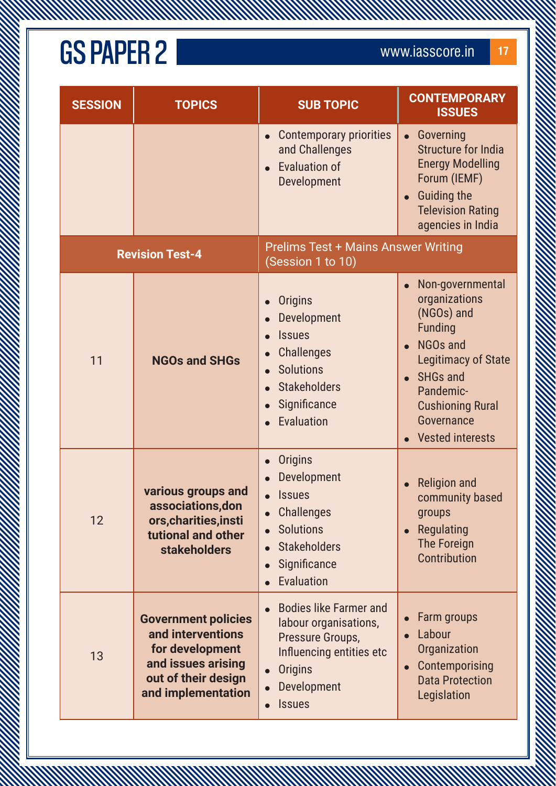WWW

| <b>SESSION</b> | <b>TOPICS</b>                                                                                                                         | <b>SUB TOPIC</b>                                                                                                                                         | <b>CONTEMPORARY</b><br><b>ISSUES</b>                                                                                                                                                                                   |
|----------------|---------------------------------------------------------------------------------------------------------------------------------------|----------------------------------------------------------------------------------------------------------------------------------------------------------|------------------------------------------------------------------------------------------------------------------------------------------------------------------------------------------------------------------------|
|                |                                                                                                                                       | <b>Contemporary priorities</b><br>and Challenges<br><b>Evaluation of</b><br>Development                                                                  | Governing<br>$\bullet$<br><b>Structure for India</b><br><b>Energy Modelling</b><br>Forum (IEMF)<br><b>Guiding the</b><br><b>Television Rating</b><br>agencies in India                                                 |
|                | <b>Revision Test-4</b>                                                                                                                | <b>Prelims Test + Mains Answer Writing</b><br>(Session 1 to 10)                                                                                          |                                                                                                                                                                                                                        |
| 11             | <b>NGOs and SHGs</b>                                                                                                                  | <b>Origins</b><br>Development<br><b>Issues</b><br><b>Challenges</b><br><b>Solutions</b><br><b>Stakeholders</b><br>Significance<br><b>Evaluation</b>      | Non-governmental<br>organizations<br>(NGOs) and<br><b>Funding</b><br><b>NGOs and</b><br><b>Legitimacy of State</b><br><b>SHGs and</b><br>Pandemic-<br><b>Cushioning Rural</b><br>Governance<br><b>Vested interests</b> |
| 12             | various groups and<br>associations, don<br>ors, charities, insti<br>tutional and other<br><b>stakeholders</b>                         | <b>Origins</b><br>Development<br><b>Issues</b><br><b>Challenges</b><br><b>Solutions</b><br><b>Stakeholders</b><br>Significance<br>Evaluation             | <b>Religion and</b><br>community based<br>groups<br>Regulating<br>The Foreign<br>Contribution                                                                                                                          |
| 13             | <b>Government policies</b><br>and interventions<br>for development<br>and issues arising<br>out of their design<br>and implementation | <b>Bodies like Farmer and</b><br>labour organisations,<br>Pressure Groups,<br>Influencing entities etc<br><b>Origins</b><br>Development<br><b>Issues</b> | Farm groups<br>Labour<br>Organization<br>Contemporising<br><b>Data Protection</b><br>Legislation                                                                                                                       |

A MARTIN MARTIN WARRANT WARRANT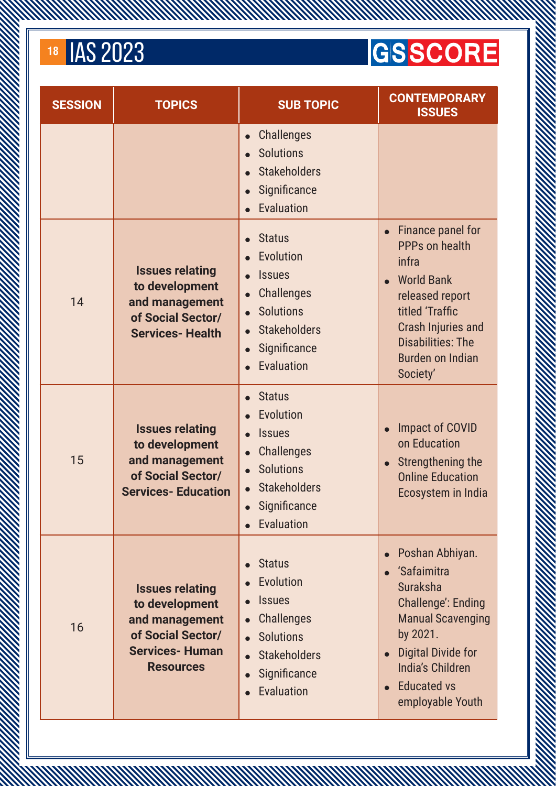#### **GSSCORE**

| <b>SESSION</b> | <b>TOPICS</b>                                                                                                                | <b>SUB TOPIC</b>                                                                                                                                                                 | <b>CONTEMPORARY</b><br><b>ISSUES</b>                                                                                                                                                                                                                            |
|----------------|------------------------------------------------------------------------------------------------------------------------------|----------------------------------------------------------------------------------------------------------------------------------------------------------------------------------|-----------------------------------------------------------------------------------------------------------------------------------------------------------------------------------------------------------------------------------------------------------------|
|                |                                                                                                                              | <b>Challenges</b><br>$\bullet$<br><b>Solutions</b><br><b>Stakeholders</b><br>Significance<br>$\bullet$<br>Evaluation                                                             |                                                                                                                                                                                                                                                                 |
| 14             | <b>Issues relating</b><br>to development<br>and management<br>of Social Sector/<br><b>Services-Health</b>                    | <b>Status</b><br><b>Evolution</b><br><b>Issues</b><br><b>Challenges</b><br><b>Solutions</b><br>$\bullet$<br><b>Stakeholders</b><br>Significance<br>Evaluation                    | Finance panel for<br>PPPs on health<br>infra<br><b>World Bank</b><br>$\bullet$<br>released report<br>titled 'Traffic<br><b>Crash Injuries and</b><br><b>Disabilities: The</b><br><b>Burden on Indian</b><br>Society'                                            |
| 15             | <b>Issues relating</b><br>to development<br>and management<br>of Social Sector/<br><b>Services-Education</b>                 | <b>Status</b><br>Evolution<br><b>Issues</b><br><b>Challenges</b><br><b>Solutions</b><br><b>Stakeholders</b><br>Significance<br>Evaluation                                        | Impact of COVID<br>on Education<br>Strengthening the<br>$\bullet$<br><b>Online Education</b><br>Ecosystem in India                                                                                                                                              |
| 16             | <b>Issues relating</b><br>to development<br>and management<br>of Social Sector/<br><b>Services-Human</b><br><b>Resources</b> | <b>Status</b><br>$\bullet$<br>Evolution<br><b>Issues</b><br><b>Challenges</b><br>$\bullet$<br><b>Solutions</b><br><b>Stakeholders</b><br>$\bullet$<br>Significance<br>Evaluation | Poshan Abhiyan.<br>$\bullet$<br>'Safaimitra<br><b>Suraksha</b><br><b>Challenge': Ending</b><br><b>Manual Scavenging</b><br>by 2021.<br><b>Digital Divide for</b><br>$\bullet$<br><b>India's Children</b><br><b>Educated vs</b><br>$\bullet$<br>employable Youth |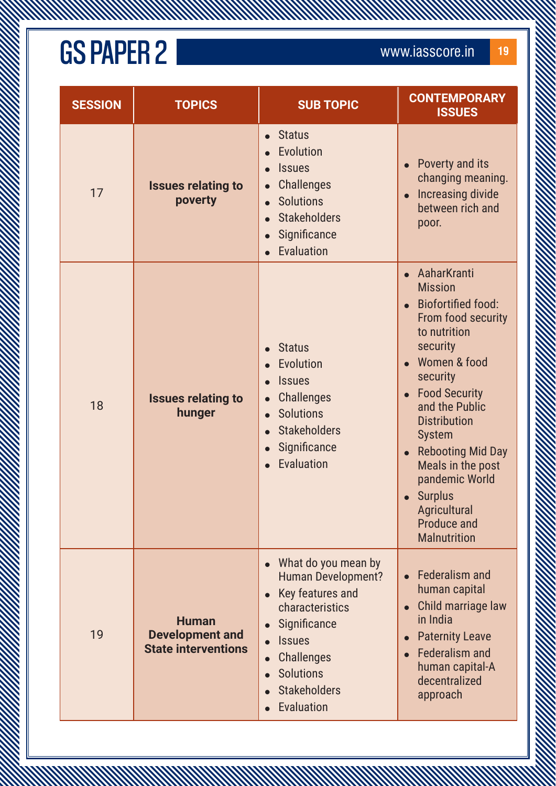**MANAMANA** 

| <b>SESSION</b> | <b>TOPICS</b>                                                        | <b>SUB TOPIC</b>                                                                                                                                                                                       | <b>CONTEMPORARY</b><br><b>ISSUES</b>                                                                                                                                                                                                                                                                                                                                         |
|----------------|----------------------------------------------------------------------|--------------------------------------------------------------------------------------------------------------------------------------------------------------------------------------------------------|------------------------------------------------------------------------------------------------------------------------------------------------------------------------------------------------------------------------------------------------------------------------------------------------------------------------------------------------------------------------------|
| 17             | <b>Issues relating to</b><br>poverty                                 | <b>Status</b><br>Evolution<br><b>Issues</b><br><b>Challenges</b><br><b>Solutions</b><br><b>Stakeholders</b><br>Significance<br>Evaluation                                                              | Poverty and its<br>changing meaning.<br>Increasing divide<br>between rich and<br>poor.                                                                                                                                                                                                                                                                                       |
| 18             | <b>Issues relating to</b><br>hunger                                  | <b>Status</b><br>Evolution<br><b>Issues</b><br><b>Challenges</b><br><b>Solutions</b><br><b>Stakeholders</b><br>Significance<br>Evaluation                                                              | AaharKranti<br><b>Mission</b><br><b>Biofortified food:</b><br>From food security<br>to nutrition<br>security<br>Women & food<br>security<br><b>Food Security</b><br>and the Public<br><b>Distribution</b><br><b>System</b><br><b>Rebooting Mid Day</b><br>Meals in the post<br>pandemic World<br><b>Surplus</b><br>Agricultural<br><b>Produce and</b><br><b>Malnutrition</b> |
| 19             | <b>Human</b><br><b>Development and</b><br><b>State interventions</b> | What do you mean by<br><b>Human Development?</b><br>Key features and<br>characteristics<br>Significance<br><b>Issues</b><br><b>Challenges</b><br><b>Solutions</b><br><b>Stakeholders</b><br>Evaluation | <b>Federalism and</b><br>human capital<br>Child marriage law<br>in India<br><b>Paternity Leave</b><br><b>Federalism and</b><br>human capital-A<br>decentralized<br>approach                                                                                                                                                                                                  |

A MARTIN MARTIN WARRANT WARRANT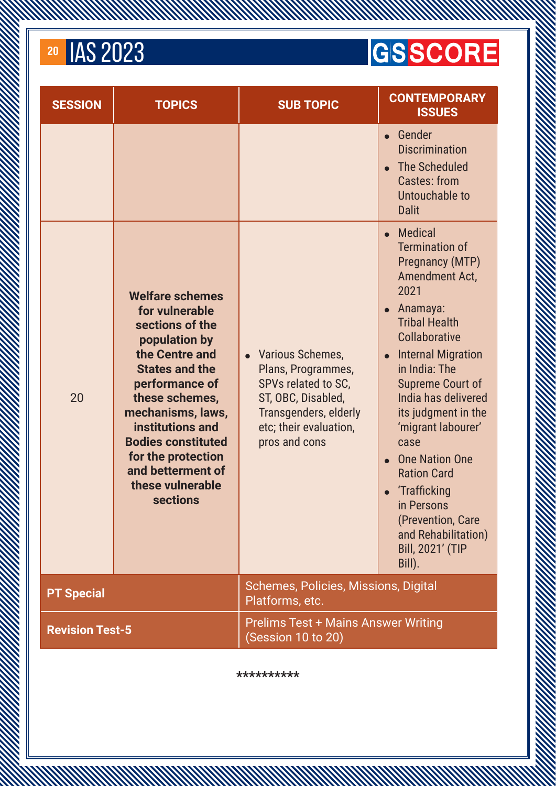**MANAMAN** 

#### **GSSCORE**

| <b>SESSION</b>                                                                             | <b>TOPICS</b>                                                                                                                                                                                                                                                                                                       | <b>SUB TOPIC</b>                                                                                                                                                            | <b>CONTEMPORARY</b><br><b>ISSUES</b>                                                                                                                                                                                                                                                                                                                                                                                                                                                                |
|--------------------------------------------------------------------------------------------|---------------------------------------------------------------------------------------------------------------------------------------------------------------------------------------------------------------------------------------------------------------------------------------------------------------------|-----------------------------------------------------------------------------------------------------------------------------------------------------------------------------|-----------------------------------------------------------------------------------------------------------------------------------------------------------------------------------------------------------------------------------------------------------------------------------------------------------------------------------------------------------------------------------------------------------------------------------------------------------------------------------------------------|
|                                                                                            |                                                                                                                                                                                                                                                                                                                     |                                                                                                                                                                             | Gender<br>$\bullet$<br><b>Discrimination</b><br>The Scheduled<br><b>Castes: from</b><br>Untouchable to<br><b>Dalit</b>                                                                                                                                                                                                                                                                                                                                                                              |
| 20                                                                                         | <b>Welfare schemes</b><br>for vulnerable<br>sections of the<br>population by<br>the Centre and<br><b>States and the</b><br>performance of<br>these schemes,<br>mechanisms, laws,<br>institutions and<br><b>Bodies constituted</b><br>for the protection<br>and betterment of<br>these vulnerable<br><b>sections</b> | <b>Various Schemes,</b><br>$\bullet$<br>Plans, Programmes,<br>SPVs related to SC,<br>ST, OBC, Disabled,<br>Transgenders, elderly<br>etc; their evaluation,<br>pros and cons | <b>Medical</b><br>$\bullet$<br><b>Termination of</b><br><b>Pregnancy (MTP)</b><br>Amendment Act,<br>2021<br>Anamaya:<br>$\bullet$<br><b>Tribal Health</b><br>Collaborative<br><b>Internal Migration</b><br>$\bullet$<br>in India: The<br>Supreme Court of<br>India has delivered<br>its judgment in the<br>'migrant labourer'<br>case<br><b>One Nation One</b><br><b>Ration Card</b><br>'Trafficking<br>in Persons<br>(Prevention, Care<br>and Rehabilitation)<br><b>Bill, 2021' (TIP</b><br>Bill). |
| <b>PT Special</b>                                                                          |                                                                                                                                                                                                                                                                                                                     | Schemes, Policies, Missions, Digital<br>Platforms, etc.                                                                                                                     |                                                                                                                                                                                                                                                                                                                                                                                                                                                                                                     |
| <b>Prelims Test + Mains Answer Writing</b><br><b>Revision Test-5</b><br>(Session 10 to 20) |                                                                                                                                                                                                                                                                                                                     |                                                                                                                                                                             |                                                                                                                                                                                                                                                                                                                                                                                                                                                                                                     |

A MARTIN AN MARTIN AN MARTIN AN HANDAR SON AN HANDAR SON AN HANDAR SON AN HANDAR SON AN HANDAR SON AN HANDAR SON AN HANDAR SON AN HANDAR SON AN HANDAR SON AN HANDAR SON AN HANDAR SON AN HANDAR SON AN HANDAR SON AN HANDAR S

**\*\*\*\*\*\*\*\*\*\***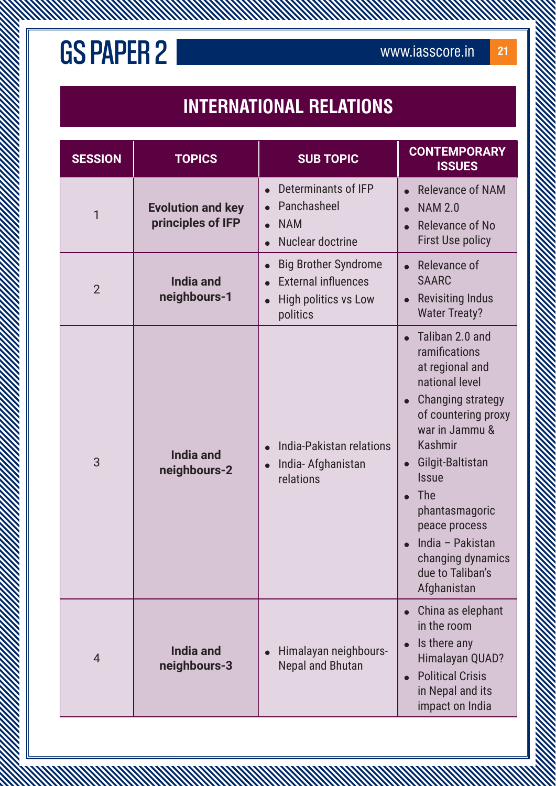#### **INTERNATIONAL RELATIONS**

A MARTIN MARTIN WARRANT WARRANT WARRANT WARRANT WARRANT WARRANT WARRANT WARRANT WARRANT

| <b>SESSION</b> | <b>TOPICS</b>                                 | <b>SUB TOPIC</b>                                                                                                  | <b>CONTEMPORARY</b><br><b>ISSUES</b>                                                                                                                                                                                                                                                                                          |
|----------------|-----------------------------------------------|-------------------------------------------------------------------------------------------------------------------|-------------------------------------------------------------------------------------------------------------------------------------------------------------------------------------------------------------------------------------------------------------------------------------------------------------------------------|
| 1              | <b>Evolution and key</b><br>principles of IFP | Determinants of IFP<br>$\bullet$<br>Panchasheel<br><b>NAM</b><br>Nuclear doctrine                                 | <b>Relevance of NAM</b><br><b>NAM 2.0</b><br>Relevance of No<br><b>First Use policy</b>                                                                                                                                                                                                                                       |
| $\overline{2}$ | <b>India and</b><br>neighbours-1              | <b>Big Brother Syndrome</b><br><b>External influences</b><br><b>High politics vs Low</b><br>$\bullet$<br>politics | Relevance of<br><b>SAARC</b><br><b>Revisiting Indus</b><br><b>Water Treaty?</b>                                                                                                                                                                                                                                               |
| 3              | <b>India and</b><br>neighbours-2              | India-Pakistan relations<br>$\bullet$<br>India-Afghanistan<br>relations                                           | Taliban 2.0 and<br>ramifications<br>at regional and<br>national level<br><b>Changing strategy</b><br>of countering proxy<br>war in Jammu &<br><b>Kashmir</b><br>Gilgit-Baltistan<br><b>Issue</b><br><b>The</b><br>phantasmagoric<br>peace process<br>India - Pakistan<br>changing dynamics<br>due to Taliban's<br>Afghanistan |
| 4              | <b>India and</b><br>neighbours-3              | Himalayan neighbours-<br><b>Nepal and Bhutan</b>                                                                  | China as elephant<br>in the room<br>Is there any<br>Himalayan QUAD?<br><b>Political Crisis</b><br>in Nepal and its<br>impact on India                                                                                                                                                                                         |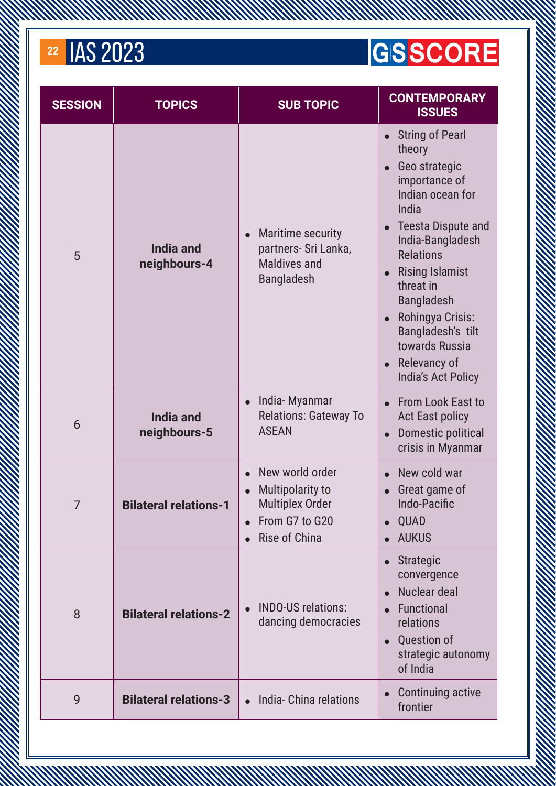#### <sup>22</sup> IAS 2023

#### **GSSCORE**

| <b>SESSION</b> | <b>TOPICS</b>                    | <b>SUB TOPIC</b>                                                                                   | <b>CONTEMPORARY</b><br><b>ISSUES</b>                                                                                                                                                                                                                                                                                                                                                                                   |
|----------------|----------------------------------|----------------------------------------------------------------------------------------------------|------------------------------------------------------------------------------------------------------------------------------------------------------------------------------------------------------------------------------------------------------------------------------------------------------------------------------------------------------------------------------------------------------------------------|
| 5              | <b>India and</b><br>neighbours-4 | Maritime security<br>$\bullet$<br>partners- Sri Lanka,<br><b>Maldives and</b><br><b>Bangladesh</b> | <b>String of Pearl</b><br>$\bullet$<br>theory<br>Geo strategic<br>$\bullet$<br>importance of<br>Indian ocean for<br>India<br><b>Teesta Dispute and</b><br>$\bullet$<br>India-Bangladesh<br><b>Relations</b><br><b>Rising Islamist</b><br>$\bullet$<br>threat in<br><b>Bangladesh</b><br>Rohingya Crisis:<br>$\bullet$<br>Bangladesh's tilt<br>towards Russia<br>Relevancy of<br>$\bullet$<br><b>India's Act Policy</b> |
| 6              | <b>India and</b><br>neighbours-5 | India-Myanmar<br>$\bullet$<br><b>Relations: Gateway To</b><br><b>ASEAN</b>                         | From Look East to<br>$\bullet$<br><b>Act East policy</b><br>Domestic political<br>$\bullet$<br>crisis in Myanmar                                                                                                                                                                                                                                                                                                       |
| 7              | <b>Bilateral relations-1</b>     | New world order<br>Multipolarity to<br><b>Multiplex Order</b><br>From G7 to G20<br>Rise of China   | New cold war<br>Great game of<br>Indo-Pacific<br><b>QUAD</b><br>$\bullet$<br><b>AUKUS</b>                                                                                                                                                                                                                                                                                                                              |
| 8              | <b>Bilateral relations-2</b>     | <b>INDO-US relations:</b><br>dancing democracies                                                   | Strategic<br>$\bullet$<br>convergence<br>Nuclear deal<br>Functional<br>relations<br><b>Question of</b><br>$\bullet$<br>strategic autonomy<br>of India                                                                                                                                                                                                                                                                  |
| 9              | <b>Bilateral relations-3</b>     | India- China relations                                                                             | Continuing active<br>frontier                                                                                                                                                                                                                                                                                                                                                                                          |

A MARKA MARKA MARKA MARKA MARKA MARKA MARKA MARKA MARKA MARKA MARKA MARKA MARKA MARKA MARKA MARKA MARKA MARKA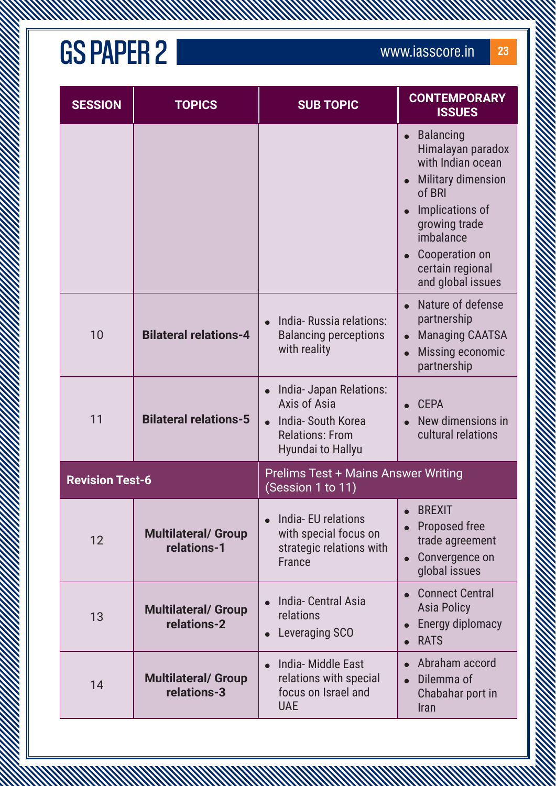**MANAMANA** 

| <b>SESSION</b>         | <b>TOPICS</b>                             | <b>SUB TOPIC</b>                                                                                            | <b>CONTEMPORARY</b><br><b>ISSUES</b>                                                                                                                                                                          |
|------------------------|-------------------------------------------|-------------------------------------------------------------------------------------------------------------|---------------------------------------------------------------------------------------------------------------------------------------------------------------------------------------------------------------|
|                        |                                           |                                                                                                             | <b>Balancing</b><br>Himalayan paradox<br>with Indian ocean<br><b>Military dimension</b><br>of BRI<br>Implications of<br>growing trade<br>imbalance<br>Cooperation on<br>certain regional<br>and global issues |
| 10                     | <b>Bilateral relations-4</b>              | India-Russia relations:<br><b>Balancing perceptions</b><br>with reality                                     | Nature of defense<br>partnership<br><b>Managing CAATSA</b><br>$\bullet$<br>Missing economic<br>partnership                                                                                                    |
| 11                     | <b>Bilateral relations-5</b>              | India- Japan Relations:<br>Axis of Asia<br>India-South Korea<br><b>Relations: From</b><br>Hyundai to Hallyu | <b>CEPA</b><br>New dimensions in<br>cultural relations                                                                                                                                                        |
| <b>Revision Test-6</b> |                                           | <b>Prelims Test + Mains Answer Writing</b><br>(Session 1 to 11)                                             |                                                                                                                                                                                                               |
| 12                     | <b>Multilateral/ Group</b><br>relations-1 | India-EU relations<br>with special focus on<br>strategic relations with<br><b>France</b>                    | <b>BREXIT</b><br>Proposed free<br>trade agreement<br>Convergence on<br>global issues                                                                                                                          |
| 13                     | <b>Multilateral/ Group</b><br>relations-2 | India- Central Asia<br>relations<br>Leveraging SCO                                                          | <b>Connect Central</b><br><b>Asia Policy</b><br><b>Energy diplomacy</b><br><b>RATS</b><br>$\bullet$                                                                                                           |
| 14                     | <b>Multilateral/ Group</b><br>relations-3 | India- Middle East<br>relations with special<br>focus on Israel and<br><b>UAE</b>                           | Abraham accord<br>Dilemma of<br>Chabahar port in<br>Iran                                                                                                                                                      |

A MARTIN MARTIN WARRANT WARRANT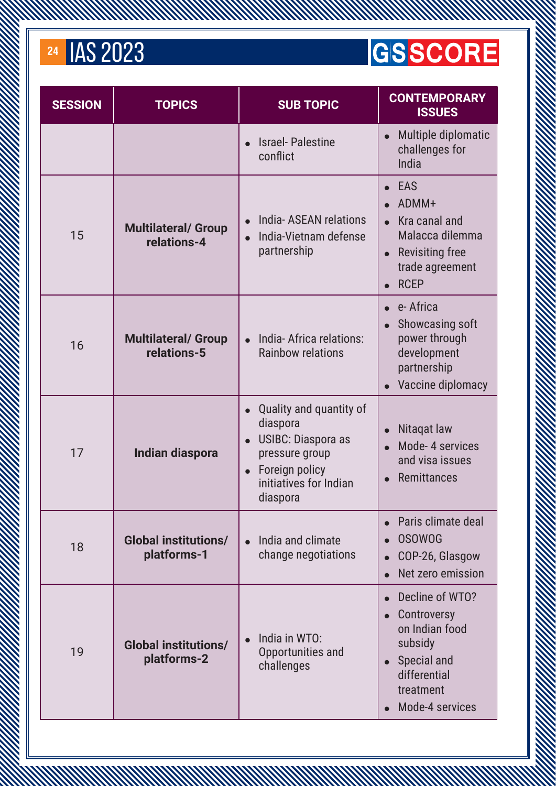#### **GSSCORE**

| <b>SESSION</b> | <b>TOPICS</b>                              | <b>SUB TOPIC</b>                                                                                                                                        | <b>CONTEMPORARY</b><br><b>ISSUES</b>                                                                                                    |
|----------------|--------------------------------------------|---------------------------------------------------------------------------------------------------------------------------------------------------------|-----------------------------------------------------------------------------------------------------------------------------------------|
|                |                                            | <b>Israel-Palestine</b><br>conflict                                                                                                                     | Multiple diplomatic<br>$\bullet$<br>challenges for<br>India                                                                             |
| 15             | <b>Multilateral/ Group</b><br>relations-4  | India-ASEAN relations<br>India-Vietnam defense<br>partnership                                                                                           | <b>EAS</b><br>ADMM+<br>Kra canal and<br>Malacca dilemma<br><b>Revisiting free</b><br>$\bullet$<br>trade agreement<br><b>RCEP</b>        |
| 16             | <b>Multilateral/ Group</b><br>relations-5  | India-Africa relations:<br><b>Rainbow relations</b>                                                                                                     | e-Africa<br>Showcasing soft<br>$\bullet$<br>power through<br>development<br>partnership<br>Vaccine diplomacy                            |
| 17             | <b>Indian diaspora</b>                     | Quality and quantity of<br>diaspora<br><b>USIBC: Diaspora as</b><br>pressure group<br>Foreign policy<br>$\bullet$<br>initiatives for Indian<br>diaspora | Nitagat law<br>Mode-4 services<br>and visa issues<br>Remittances                                                                        |
| 18             | <b>Global institutions/</b><br>platforms-1 | India and climate<br>change negotiations                                                                                                                | Paris climate deal<br><b>OSOWOG</b><br>COP-26, Glasgow<br>Net zero emission                                                             |
| 19             | <b>Global institutions/</b><br>platforms-2 | India in WTO:<br>Opportunities and<br>challenges                                                                                                        | Decline of WTO?<br>Controversy<br>on Indian food<br>subsidy<br>Special and<br>$\bullet$<br>differential<br>treatment<br>Mode-4 services |

A MARKA MARKA MARKA MARKA MARKA MARKA MARKA MARKA MARKA MARKA MARKA MARKA MARKA MARKA MARKA MARKA MARKA MARKA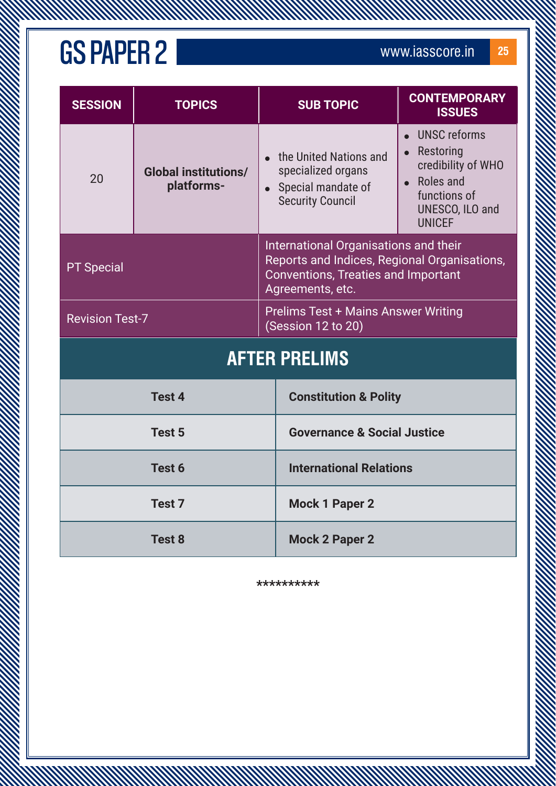| <b>SESSION</b>         | <b>TOPICS</b>                             | <b>SUB TOPIC</b>                                                                                                                                        | <b>CONTEMPORARY</b><br><b>ISSUES</b>                                                                                                 |
|------------------------|-------------------------------------------|---------------------------------------------------------------------------------------------------------------------------------------------------------|--------------------------------------------------------------------------------------------------------------------------------------|
| 20                     | <b>Global institutions/</b><br>platforms- | the United Nations and<br>specialized organs<br>• Special mandate of<br><b>Security Council</b>                                                         | <b>UNSC reforms</b><br>$\bullet$<br>Restoring<br>credibility of WHO<br>Roles and<br>functions of<br>UNESCO, ILO and<br><b>UNICEF</b> |
| <b>PT Special</b>      |                                           | International Organisations and their<br>Reports and Indices, Regional Organisations,<br><b>Conventions, Treaties and Important</b><br>Agreements, etc. |                                                                                                                                      |
| <b>Revision Test-7</b> |                                           | <b>Prelims Test + Mains Answer Writing</b><br>(Session 12 to 20)                                                                                        |                                                                                                                                      |
|                        |                                           | <b>AFTER PRELIMS</b>                                                                                                                                    |                                                                                                                                      |
|                        | Test 4                                    | <b>Constitution &amp; Polity</b>                                                                                                                        |                                                                                                                                      |
| Test 5                 |                                           | <b>Governance &amp; Social Justice</b>                                                                                                                  |                                                                                                                                      |
| Test 6                 |                                           | <b>International Relations</b>                                                                                                                          |                                                                                                                                      |
| Test <sub>7</sub>      |                                           | <b>Mock 1 Paper 2</b>                                                                                                                                   |                                                                                                                                      |
| Test <sub>8</sub>      |                                           | <b>Mock 2 Paper 2</b>                                                                                                                                   |                                                                                                                                      |

A MARTIN MARTIN STANDARD

**\*\*\*\*\*\*\*\*\*\***